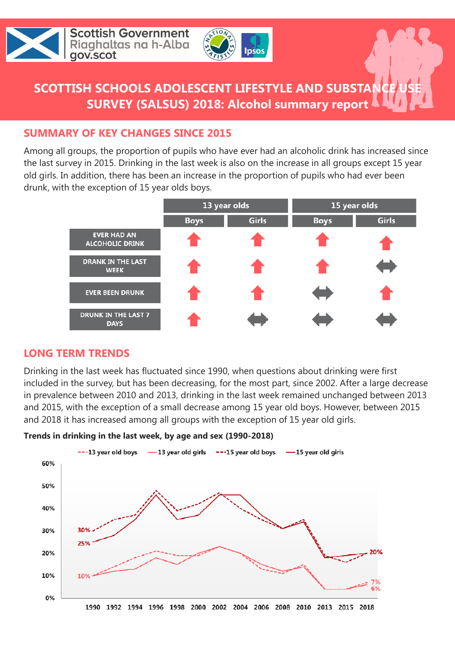



## **SCOTTISH SCHOOLS ADOLESCENT LIFESTYLE AND SUBSTA SURVEY (SALSUS) 2018: Alcohol summary report**

#### **SUMMARY OF KEY CHANGES SINCE 2015**

Among all groups, the proportion of pupils who have ever had an alcoholic drink has increased since the last survey in 2015. Drinking in the last week is also on the increase in all groups except 15 year old girls. In addition, there has been an increase in the proportion of pupils who had ever been drunk, with the exception of 15 year olds boys.



#### **LONG TERM TRENDS**

Drinking in the last week has fluctuated since 1990, when questions about drinking were first included in the survey, but has been decreasing, for the most part, since 2002. After a large decrease in prevalence between 2010 and 2013, drinking in the last week remained unchanged between 2013 and 2015, with the exception of a small decrease among 15 year old boys. However, between 2015 and 2018 it has increased among all groups with the exception of 15 year old girls.



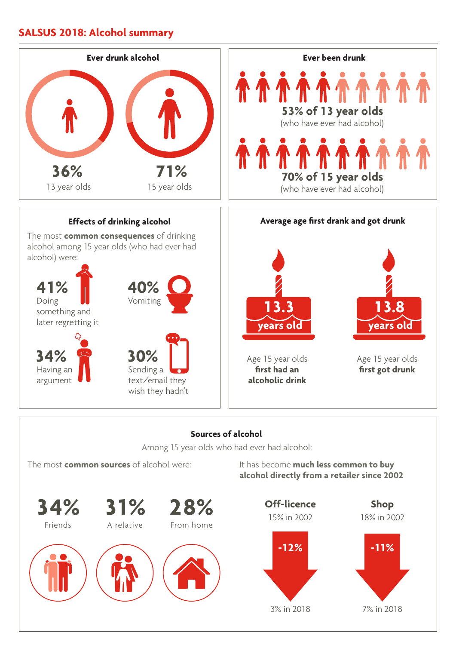#### **SALSUS 2018: Alcohol summary**



The most **common sources** of alcohol were:

It has become **much less common to buy alcohol directly from a retailer since 2002**

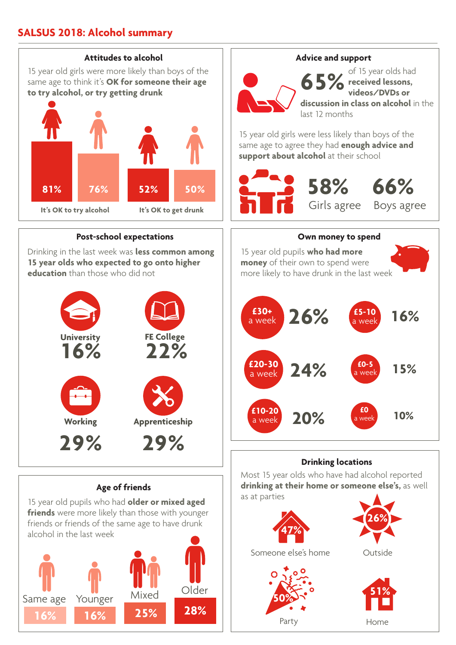### **SALSUS 2018: Alcohol summary**